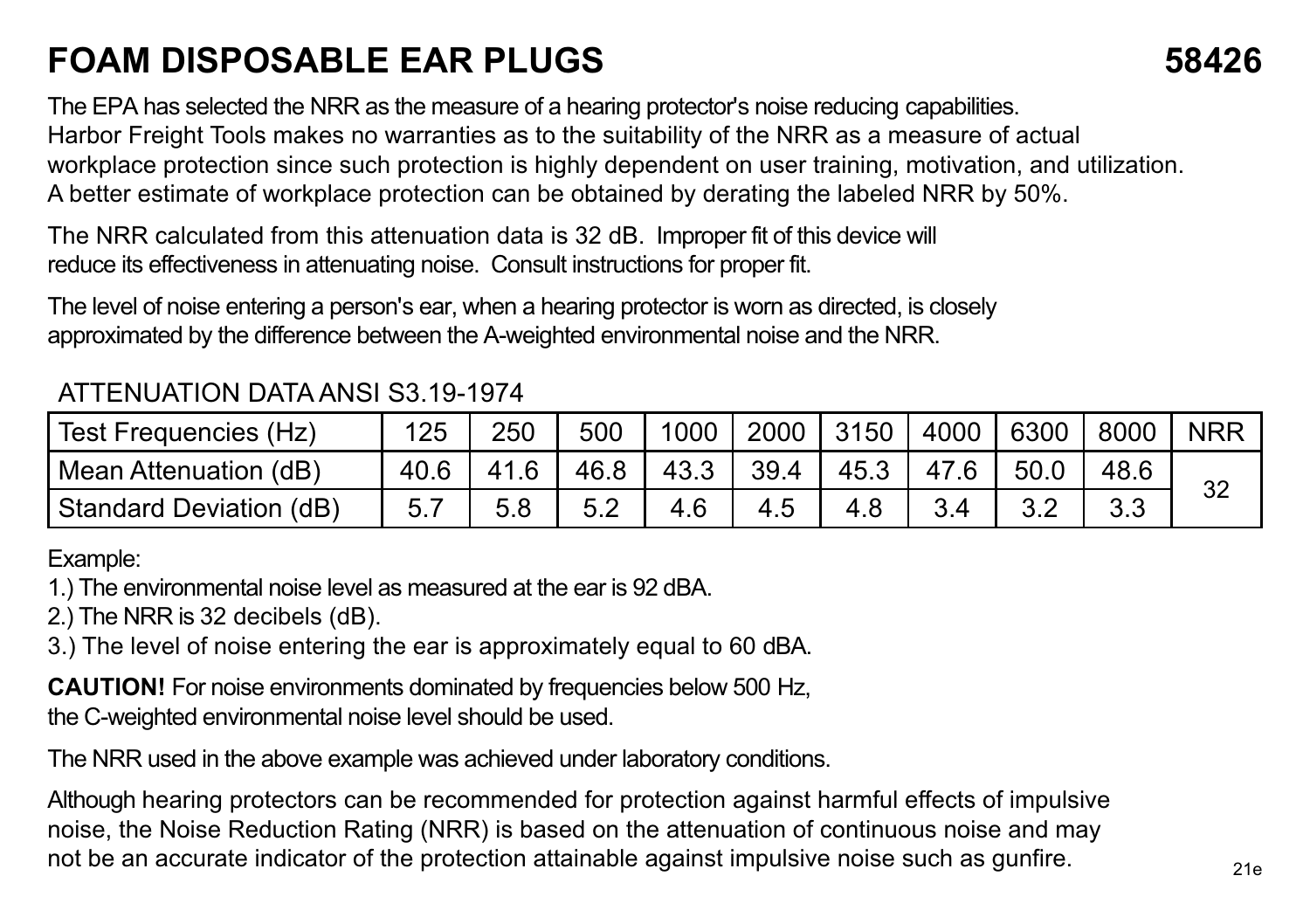## **FOAM DISPOSABLE EAR PLUGS 58426**

The EPA has selected the NRR as the measure of a hearing protector's noise reducing capabilities. Harbor Freight Tools makes no warranties as to the suitability of the NRR as a measure of actual workplace protection since such protection is highly dependent on user training, motivation, and utilization. A better estimate of workplace protection can be obtained by derating the labeled NRR by 50%.

The NRR calculated from this attenuation data is 32 dB. Improper fit of this device will reduce its effectiveness in attenuating noise. Consult instructions for proper fit.

The level of noise entering a person's ear, when a hearing protector is worn as directed, is closely approximated by the difference between the A-weighted environmental noise and the NRR.

## ATTENUATION DATA ANSI S3.19-1974

| l Test Freauencies (Hz) | 125  | 250 | 500  | 1000 <sub>1</sub> | 2000 3150 |      | 4000 | 6300 | 8000 | <b>NRR</b> |
|-------------------------|------|-----|------|-------------------|-----------|------|------|------|------|------------|
| Mean Attenuation (dB)   | 40.6 |     | 46.8 | 43.3              | 39.4      | 45.3 |      | 50.0 |      | 32         |
| Standard Deviation (dB) |      | 5.8 | 5.2  |                   |           | 4.8  |      |      | २२   |            |

Example:

1.) The environmental noise level as measured at the ear is 92 dBA.

2.) The NRR is 32 decibels (dB).

3.) The level of noise entering the ear is approximately equal to 60 dBA.

**CAUTION!** For noise environments dominated by frequencies below 500 Hz, the C-weighted environmental noise level should be used.

The NRR used in the above example was achieved under laboratory conditions.

Although hearing protectors can be recommended for protection against harmful effects of impulsive noise, the Noise Reduction Rating (NRR) is based on the attenuation of continuous noise and may not be an accurate indicator of the protection attainable against impulsive noise such as gunfire.